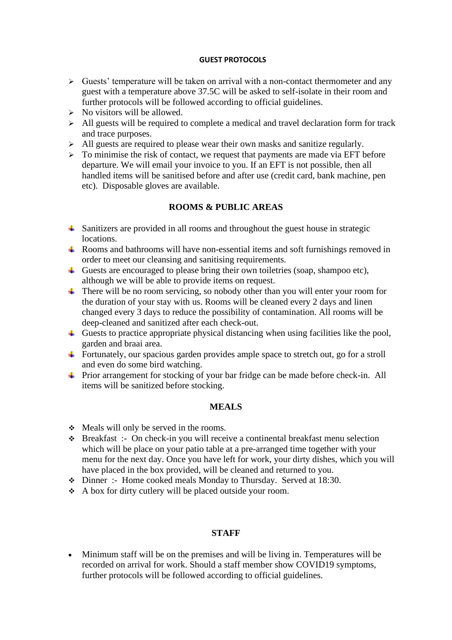## **GUEST PROTOCOLS**

- $\triangleright$  Guests' temperature will be taken on arrival with a non-contact thermometer and any guest with a temperature above 37.5C will be asked to self-isolate in their room and further protocols will be followed according to official guidelines.
- $\triangleright$  No visitors will be allowed.
- $\triangleright$  All guests will be required to complete a medical and travel declaration form for track and trace purposes.
- ➢ All guests are required to please wear their own masks and sanitize regularly.
- $\geq$  To minimise the risk of contact, we request that payments are made via EFT before departure. We will email your invoice to you. If an EFT is not possible, then all handled items will be sanitised before and after use (credit card, bank machine, pen etc). Disposable gloves are available.

## **ROOMS & PUBLIC AREAS**

- <sup> $\pm$ </sup> Sanitizers are provided in all rooms and throughout the guest house in strategic locations.
- Rooms and bathrooms will have non-essential items and soft furnishings removed in order to meet our cleansing and sanitising requirements.
- Guests are encouraged to please bring their own toiletries (soap, shampoo etc), although we will be able to provide items on request.
- There will be no room servicing, so nobody other than you will enter your room for the duration of your stay with us. Rooms will be cleaned every 2 days and linen changed every 3 days to reduce the possibility of contamination. All rooms will be deep-cleaned and sanitized after each check-out.
- $\ddot{\phantom{1}}$  Guests to practice appropriate physical distancing when using facilities like the pool, garden and braai area.
- Fortunately, our spacious garden provides ample space to stretch out, go for a stroll and even do some bird watching.
- Prior arrangement for stocking of your bar fridge can be made before check-in. All items will be sanitized before stocking.

## **MEALS**

- ❖ Meals will only be served in the rooms.
- ❖ Breakfast :- On check-in you will receive a continental breakfast menu selection which will be place on your patio table at a pre-arranged time together with your menu for the next day. Once you have left for work, your dirty dishes, which you will have placed in the box provided, will be cleaned and returned to you.
- ❖ Dinner :- Home cooked meals Monday to Thursday. Served at 18:30.
- ❖ A box for dirty cutlery will be placed outside your room.

## **STAFF**

• Minimum staff will be on the premises and will be living in. Temperatures will be recorded on arrival for work. Should a staff member show COVID19 symptoms, further protocols will be followed according to official guidelines.